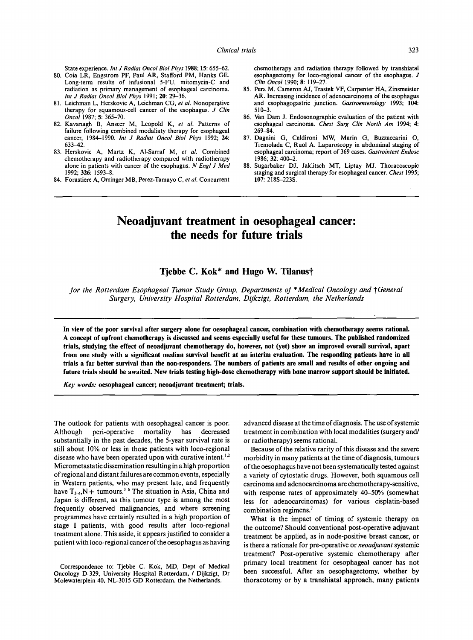State experience. *Int J Radiat Oncol Biol Phys* 1988; 15: 655-62.

- 80. Coia LR, Engstrom PF, Paul AR, Stafford PM, Hanks GE. Long-term results of infusional 5-FU, mitomycin-C and radiation as primary management of esophageal carcinoma. *Int J Radiat Oncol Biol Phys* 1991; 20: 29-36.
- 81. Leichman L, Herskovic A, Leichman CG, *et aL* Nonoperative therapy for squamous-cell cancer of the esophagus. *J Clin Oncol* 1987; 5: 365-70.
- 82. Kavanagh B, Anscer M, Leopold *K, et al.* Patterns of failure following combined modaliaty therapy for esophageal cancer, 1984-1990. *Int J Radiat Oncol Biol Phys* 1992; 24: 633-42.
- 83. Herskovic A, Martz K, AI-Sarraf M, *et al.* Combined chemotherapy and radiotherapy compared with radiotherapy alone in patients with cancer of the esophagus. *N Engl J Med*  1992; 326: 1593-8.
- 84. Forastiere A, Orringer MB, Perez-Tamayo *C, et al.* Concurrent

chemotherapy and radiation therapy followed by transhiatal esophagectomy for loco-regional cancer of the esophagus. J *Clin Oncol* 1990; 8:119-27.

- 85. Pera M, Cameron AJ, Trastek VF, Carpenter HA, Zinsmeister AR. Increasing incidence of adenocarcinoma of the esophagus and esophagogastric junction. *Gastroenterology* 1993; 104: 510-3.
- 86. Van Dam J. Endosonographic evaluation of the patient with esophageal carcinoma. *Chest Surg Clin North Am* 1994; 4: 269-84.
- 87. Dagnini G, Caldironi MW, Marin G, Buzzaccarini O, Tremolada C, Ruol A. Laparoscopy in abdominal staging of esophageal carcinoma; report of 369 cases. *Gastrointest Endosc*  1986; 32: 400-2.
- 88. Sugarbaker DJ, Jaklitsch MT, Liptay MJ. Thoracoscopic staging and surgical therapy for esophageal cancer. *Chest* 1995; 107: 218S-223S.

## **Neoadjuvant treatment in oesophageal cancer: the needs for future trials**

## **Tjebbe C. Kok\* and Hugo W. Tilanust**

*for the Rotterdam Esophageal Tumor Study Group, Departments of \*Medical Oncology and †General Surgery, University Hospital Rotterdam, Dijkzigt, Rotterdam, the Netherlands* 

**In view of the poor survival after surgery alone for oesophageal cancer, combination with chemotherapy seems rational. A concept of upfront chemotherapy is discussed and seems especially useful for these tumours. The published randomized trials, studying the effect of neoadjuvant chemotherapy do, however, not (yet) show an improved overall survival, apart from one study with a significant median survival benefit at an interim evaluation. The responding patients have in all trials a far better survival than the non-responders. The numbers of patients are small and results of other ongoing and future trials should be awaited. New trials testing high-dose chemotherapy with bone marrow support should be initiated.** 

*Key words:* **oesophageal cancer; neoadjuvant treatment; trials.** 

The outlook for patients with oesophageal cancer is poor. Although peri-operative mortality has decreased substantially in the past decades, the 5-year survival rate is still about 10% or less in those patients with loco-regional disease who have been operated upon with curative intent.<sup>1,2</sup> Micrometastatic dissemination resulting in a high proportion of regional and distant failures are common events, especially in Western patients, who may present late, and frequently have  $T_{3-4}$ , N + tumours.<sup>3-6</sup> The situation in Asia, China and Japan is different, as this tumour type is among the most frequently observed malignancies, and where screening programmes have certainly resulted in a high proportion of stage I patients, with good results after loco-regional treatment alone. This aside, it appears justified to consider a patient with loco-regional cancer of the oesophagus as having

Correspondence to: Tjebbe C. Kok, MD, Dept of Medical Oncology D-329, University Hospital Rotterdam, / Dijkzigt, Dr Molewaterplein 40, NL-3015 GD Rotterdam, the Netherlands.

advanced disease at the time of diagnosis. The use of systemic treatment in combination with local modalities (surgery and/ or radiotherapy) seems rational.

Because of the relative rarity of this disease and the severe morbidity in many patients at the time of diagnosis, tumours of the oesophagus have not been systematically tested against a variety of cytostatic drugs. However, both squamous cell carcinoma and adenocarcinoma are chemotherapy-sensitive, with response rates of approximately 40-50% (somewhat less for adenocarcinomas) for various cisplatin-based combination regimens.<sup>7</sup>

What is the impact of timing of systemic therapy on the outcome? Should conventional post-operative adjuvant treatment be applied, as in node-positive breast cancer, or is there a rationale for pre-operative or *neoadjuvant* systemic treatment? Post-operative systemic chemotherapy after primary local treatment for oesophageal cancer has not been successful. After an oesophagectomy, whether by thoracotomy or by a transhiatal approach, many patients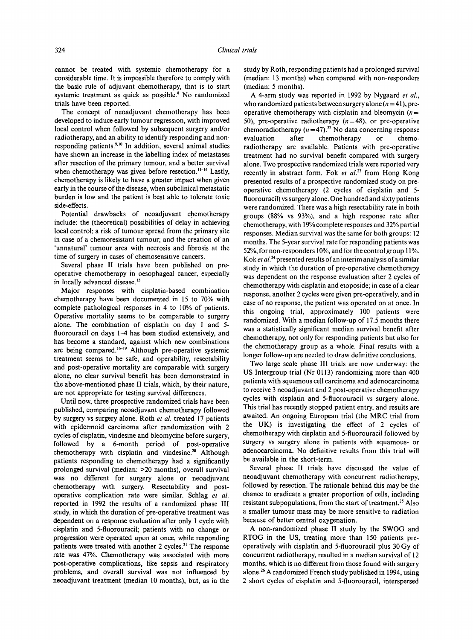cannot be treated with systemic chemotherapy for a considerable time. It is impossible therefore to comply with the basic rule of adjuvant chemotherapy, that is to start systemic treatment as quick as possible? No randomized trials have been reported.

The concept of neoadjuvant chemotherapy has been developed to induce early tumour regression, with improved local control when followed by subsequent surgery and/or radiotherapy, and an ability to identify responding and nonresponding patients.<sup>9,10</sup> In addition, several animal studies have shown an increase in the labelling index of metastases after resection of the primary tumour, and a better survival when chemotherapy was given before resection.<sup>11-14</sup> Lastly, chemotherapy is likely to have a greater impact when given early in the course of the disease, when subclinical metastatic burden is low and the patient is best able to tolerate toxic side-effects.

Potential drawbacks of neoadjuvant chemotherapy include: the (theoretical) possibilities of delay in achieving local control; a risk of tumour spread from the primary site in case of a chemoresistant tumour; and the creation of an 'unnatural' tumour area with necrosis and fibrosis at the time of surgery in cases of chemosensitive cancers.

Several phase II trials have been published on preoperative chemotherapy in oesophageal cancer, especially in locally advanced disease.<sup>15</sup>

Major responses with cisplatin-based combination chemotherapy have been documented in 15 to 70% with complete pathological responses in 4 to 10% of patients. Operative mortality seems to be comparable to surgery alone. The combination of cisplatin on day 1 and 5 fluorouracil on days 1-4 has been studied extensively, and has become a standard, against which new combinations are being compared.<sup>16-19</sup> Although pre-operative systemic treatment seems to be safe, and operability, resectability and post-operative mortality are comparable with surgery alone, no clear survival benefit has been demonstrated in the above-mentioned phase II trials, which, by their nature, are not appropriate for testing survival differences.

Until now, three prospective randomized trials have been published, comparing neoadjuvant chemotherapy followed by surgery vs surgery alone. Roth *et al.* treated 17 patients with epidermoid carcinoma after randomization with 2 cycles of cisplatin, vindesine and bleomycine before surgery, followed by a 6-month period of post-operative chemotherapy with cisplatin and vindesine.<sup>20</sup> Although patients responding to chemotherapy had a significantly prolonged survival (median: >20 months), overall survival was no different for surgery alone or neoadjuvant chemotherapy with surgery. Resectability and postoperative complication rate were similar. Schlag *et al.*  reported in 1992 the results of a randomized phase III study, in which the duration of pre-operative treatment was dependent on a response evaluation after only 1 cycle with cisplatin and 5-fluorouracil; patients with no change or progression were operated upon at once, while responding patients were treated with another 2 cycles.<sup>21</sup> The response rate was 47%. Chemotherapy was associated with more post-operative complications, like sepsis and respiratory problems, and overall survival was not influenced by neoadjuvant treatment (median 10 months), but, as in the study by Roth, responding patients had a prolonged survival (median: 13 months) when compared with non-responders (median: 5 months).

A 4-arm study was reported in 1992 by Nygaard *et al.,*  who randomized patients between surgery alone  $(n = 41)$ , preoperative chemotherapy with cisplatin and bleomycin ( $n =$ 50), pre-operative radiotherapy  $(n=48)$ , or pre-operative chemoradiotherapy ( $n = 47$ ).<sup>22</sup> No data concerning response evaluation after chemotherapy or chemoradiotherapy are available. Patients with pre-operative treatment had no survival benefit compared with 'surgery alone. Two prospective randomized trials were reported very recently in abstract form. Fok *et al.*<sup>23</sup> from Hong Kong presented results of a prospective randomized study on preoperative chemotherapy (2 cycles of cisplatin and 5 fluorouracil) vs surgery alone. One hundred and sixty patients were randomized. There was a high resectability rate in both groups (88% vs 93%), and a high response rate after chemotherapy, with 19% complete responses and 32% partial responses. Median survival was the same for both groups: 12 months. The 5-year survival rate for responding patients was 52%, for non-responders 10%, and for the control group I 1%. Kok et al.<sup>24</sup> presented results of an interim analysis of a similar study in which the duration of pre-operative chemotherapy was dependent on the response evaluation after 2 cycles of chemotherapy with cisplatin and etoposide; in case of a clear response, another 2 cycles were given pre-operatively, and in case of no response, the patient was operated on at once. In this ongoing trial, approximately I00 patients were randomized. With a median follow-up of 17.5 months there was a statistically significant median survival benefit after chemotherapy, not only for responding patients but also for the chemotherapy group as a whole. Final results with a longer follow-up are needed to draw definitive conclusions.

Two large scale phase III trials are now underway: the US Intergroup trial (Nr 0113) randomizing more than 400 patients with squamous cell carcinoma and adenocarcinoma to receive 3 neoadjuvant and 2 post-operative chemotherapy cycles with cisplatin and 5-fluorouracil vs surgery alone. This trial has recently stopped patient entry, and results are awaited. An ongoing European trial (the MRC trial from the UK) is investigating the effect of 2 cycles of chemotherapy with cisplatin and 5-fluorouracil followed by surgery vs surgery alone in patients with squamous- or adenocarcinoma. No definitive results from this trial will be available in the short-term.

Several phase II trials have discussed the value of neoadjuvant chemotherapy with concurrent radiotherapy, followed by resection. The rationale behind this may be the chance to eradicate a greater proportion of cells, including resistant subpopulations, from the start of treatment.<sup>25</sup> Also a smaller tumour mass may be more sensitive to radiation because of better central oxygenation.

A non-randomized phase II study by the SWOG and RTOG in the US, treating more than 150 patients preoperatively with cisplatin and 5-fluorouracil plus 30 Gy of concurrent radiotherapy, resulted in a median survival of 12 months, which is no different from those found with surgery alone.<sup>26</sup> A randomized French study published in 1994, using 2 short cycles of cisplatin and 5-fluorouracil, interspersed